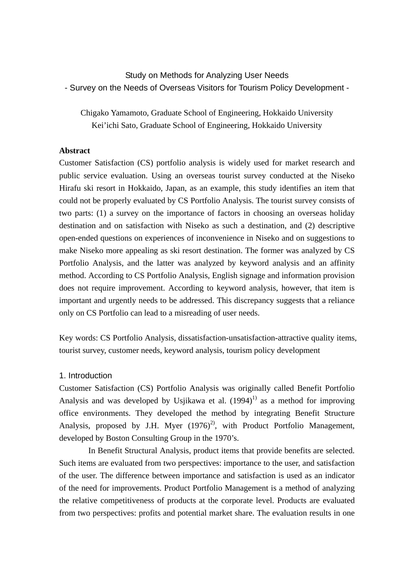Study on Methods for Analyzing User Needs - Survey on the Needs of Overseas Visitors for Tourism Policy Development -

Chigako Yamamoto, Graduate School of Engineering, Hokkaido University Kei'ichi Sato, Graduate School of Engineering, Hokkaido University

## **Abstract**

Customer Satisfaction (CS) portfolio analysis is widely used for market research and public service evaluation. Using an overseas tourist survey conducted at the Niseko Hirafu ski resort in Hokkaido, Japan, as an example, this study identifies an item that could not be properly evaluated by CS Portfolio Analysis. The tourist survey consists of two parts: (1) a survey on the importance of factors in choosing an overseas holiday destination and on satisfaction with Niseko as such a destination, and (2) descriptive open-ended questions on experiences of inconvenience in Niseko and on suggestions to make Niseko more appealing as ski resort destination. The former was analyzed by CS Portfolio Analysis, and the latter was analyzed by keyword analysis and an affinity method. According to CS Portfolio Analysis, English signage and information provision does not require improvement. According to keyword analysis, however, that item is important and urgently needs to be addressed. This discrepancy suggests that a reliance only on CS Portfolio can lead to a misreading of user needs.

Key words: CS Portfolio Analysis, dissatisfaction-unsatisfaction-attractive quality items, tourist survey, customer needs, keyword analysis, tourism policy development

#### 1. Introduction

Customer Satisfaction (CS) Portfolio Analysis was originally called Benefit Portfolio Analysis and was developed by Usiikawa et al.  $(1994)^{1}$  as a method for improving office environments. They developed the method by integrating Benefit Structure Analysis, proposed by J.H. Myer  $(1976)^2$ , with Product Portfolio Management, developed by Boston Consulting Group in the 1970's.

 In Benefit Structural Analysis, product items that provide benefits are selected. Such items are evaluated from two perspectives: importance to the user, and satisfaction of the user. The difference between importance and satisfaction is used as an indicator of the need for improvements. Product Portfolio Management is a method of analyzing the relative competitiveness of products at the corporate level. Products are evaluated from two perspectives: profits and potential market share. The evaluation results in one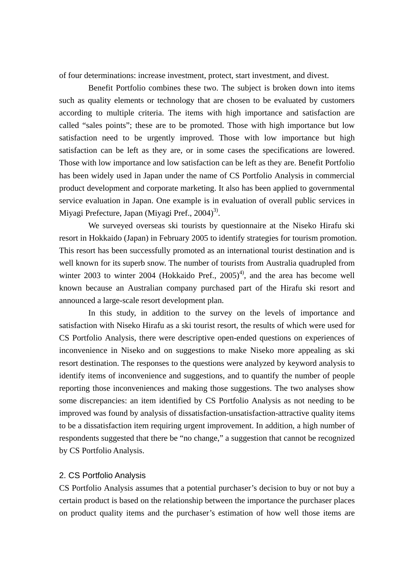of four determinations: increase investment, protect, start investment, and divest.

 Benefit Portfolio combines these two. The subject is broken down into items such as quality elements or technology that are chosen to be evaluated by customers according to multiple criteria. The items with high importance and satisfaction are called "sales points"; these are to be promoted. Those with high importance but low satisfaction need to be urgently improved. Those with low importance but high satisfaction can be left as they are, or in some cases the specifications are lowered. Those with low importance and low satisfaction can be left as they are. Benefit Portfolio has been widely used in Japan under the name of CS Portfolio Analysis in commercial product development and corporate marketing. It also has been applied to governmental service evaluation in Japan. One example is in evaluation of overall public services in Miyagi Prefecture, Japan (Miyagi Pref.,  $2004$ <sup>3)</sup>.

 We surveyed overseas ski tourists by questionnaire at the Niseko Hirafu ski resort in Hokkaido (Japan) in February 2005 to identify strategies for tourism promotion. This resort has been successfully promoted as an international tourist destination and is well known for its superb snow. The number of tourists from Australia quadrupled from winter 2003 to winter 2004 (Hokkaido Pref.,  $2005)^4$ ), and the area has become well known because an Australian company purchased part of the Hirafu ski resort and announced a large-scale resort development plan.

 In this study, in addition to the survey on the levels of importance and satisfaction with Niseko Hirafu as a ski tourist resort, the results of which were used for CS Portfolio Analysis, there were descriptive open-ended questions on experiences of inconvenience in Niseko and on suggestions to make Niseko more appealing as ski resort destination. The responses to the questions were analyzed by keyword analysis to identify items of inconvenience and suggestions, and to quantify the number of people reporting those inconveniences and making those suggestions. The two analyses show some discrepancies: an item identified by CS Portfolio Analysis as not needing to be improved was found by analysis of dissatisfaction-unsatisfaction-attractive quality items to be a dissatisfaction item requiring urgent improvement. In addition, a high number of respondents suggested that there be "no change," a suggestion that cannot be recognized by CS Portfolio Analysis.

# 2. CS Portfolio Analysis

CS Portfolio Analysis assumes that a potential purchaser's decision to buy or not buy a certain product is based on the relationship between the importance the purchaser places on product quality items and the purchaser's estimation of how well those items are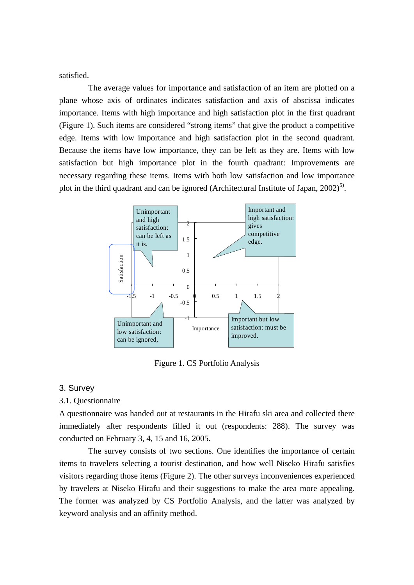satisfied.

 The average values for importance and satisfaction of an item are plotted on a plane whose axis of ordinates indicates satisfaction and axis of abscissa indicates importance. Items with high importance and high satisfaction plot in the first quadrant (Figure 1). Such items are considered "strong items" that give the product a competitive edge. Items with low importance and high satisfaction plot in the second quadrant. Because the items have low importance, they can be left as they are. Items with low satisfaction but high importance plot in the fourth quadrant: Improvements are necessary regarding these items. Items with both low satisfaction and low importance plot in the third quadrant and can be ignored (Architectural Institute of Japan,  $2002)^{5}$ ).



Figure 1. CS Portfolio Analysis

### 3. Survey

#### 3.1. Questionnaire

A questionnaire was handed out at restaurants in the Hirafu ski area and collected there immediately after respondents filled it out (respondents: 288). The survey was conducted on February 3, 4, 15 and 16, 2005.

 The survey consists of two sections. One identifies the importance of certain items to travelers selecting a tourist destination, and how well Niseko Hirafu satisfies visitors regarding those items (Figure 2). The other surveys inconveniences experienced by travelers at Niseko Hirafu and their suggestions to make the area more appealing. The former was analyzed by CS Portfolio Analysis, and the latter was analyzed by keyword analysis and an affinity method.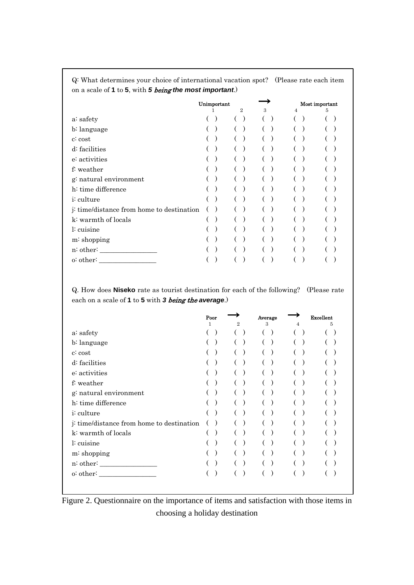| on a scale of $\bf{r}$ to <b>3</b> , with <b>3 being the most important</b> .) |  |             |                |               |  |   |                |   |  |
|--------------------------------------------------------------------------------|--|-------------|----------------|---------------|--|---|----------------|---|--|
|                                                                                |  | Unimportant |                |               |  |   | Most important |   |  |
|                                                                                |  |             | $\overline{2}$ | $\mathcal{S}$ |  | 4 |                | 5 |  |
| a: safety                                                                      |  |             |                |               |  |   |                |   |  |
| b: language                                                                    |  |             |                |               |  |   |                |   |  |
| $c$ : $cost$                                                                   |  |             |                |               |  |   |                |   |  |
| d: facilities                                                                  |  |             |                |               |  |   |                |   |  |
| e: activities                                                                  |  |             |                |               |  |   |                |   |  |
| f: weather                                                                     |  |             |                |               |  |   |                |   |  |
| g: natural environment                                                         |  |             |                |               |  |   |                |   |  |
| h: time difference                                                             |  |             |                |               |  |   |                |   |  |
| <i>i</i> : culture                                                             |  |             |                |               |  |   |                |   |  |
| j: time/distance from home to destination                                      |  |             |                |               |  |   |                |   |  |
| k: warmth of locals                                                            |  |             |                |               |  |   |                |   |  |
| l: cuisine                                                                     |  |             |                |               |  |   |                |   |  |
| m: shopping                                                                    |  |             |                |               |  |   |                |   |  |
| n: other:                                                                      |  |             |                |               |  |   |                |   |  |
| o:other:                                                                       |  |             |                |               |  |   |                |   |  |

Q: What determines your choice of international vacation spot? (Please rate each item on a scale of **1** to **5**, with *5* being *the most important*.)

Q. How does **Niseko** rate as tourist destination for each of the following? (Please rate each on a scale of **1** to **5** with *3* being the *average*.)

| Poor<br>1 | 2                                         | Average<br>3 | 4 | Excellent<br>5 |
|-----------|-------------------------------------------|--------------|---|----------------|
|           |                                           |              |   |                |
|           |                                           |              |   |                |
|           |                                           |              |   |                |
|           |                                           |              |   |                |
|           |                                           |              |   |                |
|           |                                           |              |   |                |
|           |                                           |              |   |                |
|           |                                           |              |   |                |
|           |                                           |              |   |                |
|           |                                           |              |   |                |
|           |                                           |              |   |                |
|           |                                           |              |   |                |
|           |                                           |              |   |                |
|           |                                           |              |   |                |
|           |                                           |              |   |                |
|           | j: time/distance from home to destination |              |   |                |

Figure 2. Questionnaire on the importance of items and satisfaction with those items in choosing a holiday destination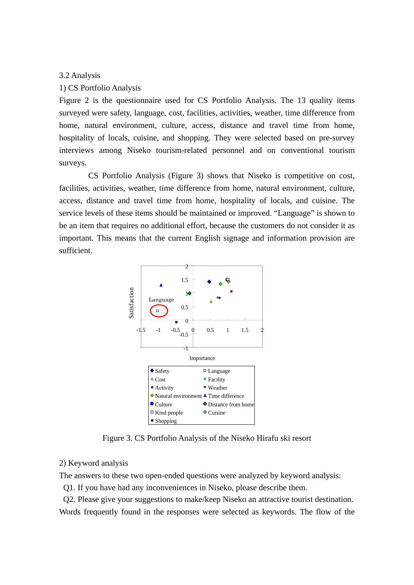#### 3.2 Analysis

#### 1) CS Portfolio Analysis

Figure 2 is the questionnaire used for CS Portfolio Analysis. The 13 quality items surveyed were safety, language, cost, facilities, activities, weather, time difference from home, natural environment, culture, access, distance and travel time from home, hospitality of locals, cuisine, and shopping. They were selected based on pre-survey interviews among Niseko tourism-related personnel and on conventional tourism surveys.

 CS Portfolio Analysis (Figure 3) shows that Niseko is competitive on cost, facilities, activities, weather, time difference from home, natural environment, culture, access, distance and travel time from home, hospitality of locals, and cuisine. The service levels of these items should be maintained or improved. "Language" is shown to be an item that requires no additional effort, because the customers do not consider it as important. This means that the current English signage and information provision are sufficient.



Figure 3. CS Portfolio Analysis of the Niseko Hirafu ski resort

## 2) Keyword analysis

The answers to these two open-ended questions were analyzed by keyword analysis:

Q1. If you have had any inconveniences in Niseko, please describe them.

 Q2. Please give your suggestions to make/keep Niseko an attractive tourist destination. Words frequently found in the responses were selected as keywords. The flow of the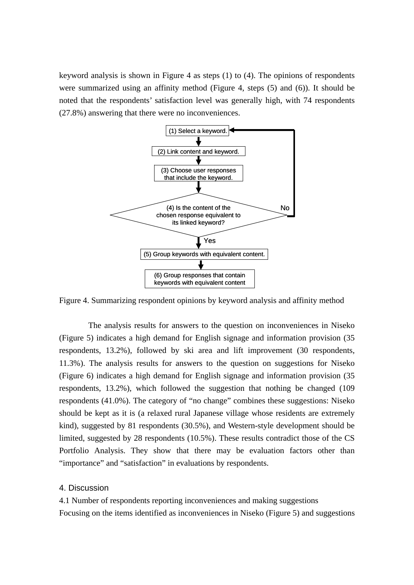keyword analysis is shown in Figure 4 as steps (1) to (4). The opinions of respondents were summarized using an affinity method (Figure 4, steps (5) and (6)). It should be noted that the respondents' satisfaction level was generally high, with 74 respondents (27.8%) answering that there were no inconveniences.



Figure 4. Summarizing respondent opinions by keyword analysis and affinity method

The analysis results for answers to the question on inconveniences in Niseko (Figure 5) indicates a high demand for English signage and information provision (35 respondents, 13.2%), followed by ski area and lift improvement (30 respondents, 11.3%). The analysis results for answers to the question on suggestions for Niseko (Figure 6) indicates a high demand for English signage and information provision (35 respondents, 13.2%), which followed the suggestion that nothing be changed (109 respondents (41.0%). The category of "no change" combines these suggestions: Niseko should be kept as it is (a relaxed rural Japanese village whose residents are extremely kind), suggested by 81 respondents (30.5%), and Western-style development should be limited, suggested by 28 respondents (10.5%). These results contradict those of the CS Portfolio Analysis. They show that there may be evaluation factors other than "importance" and "satisfaction" in evaluations by respondents.

# 4. Discussion

4.1 Number of respondents reporting inconveniences and making suggestions Focusing on the items identified as inconveniences in Niseko (Figure 5) and suggestions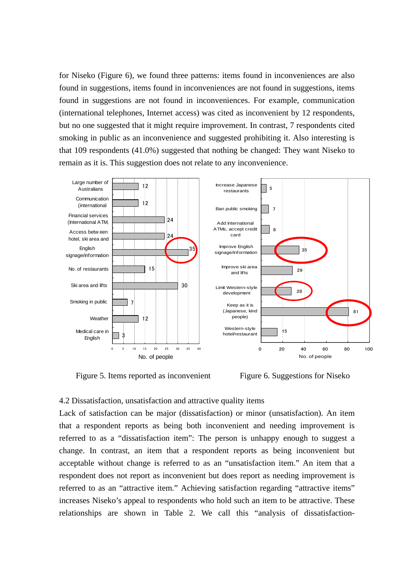for Niseko (Figure 6), we found three patterns: items found in inconveniences are also found in suggestions, items found in inconveniences are not found in suggestions, items found in suggestions are not found in inconveniences. For example, communication (international telephones, Internet access) was cited as inconvenient by 12 respondents, but no one suggested that it might require improvement. In contrast, 7 respondents cited smoking in public as an inconvenience and suggested prohibiting it. Also interesting is that 109 respondents (41.0%) suggested that nothing be changed: They want Niseko to remain as it is. This suggestion does not relate to any inconvenience.



Figure 5. Items reported as inconvenient Figure 6. Suggestions for Niseko

## 4.2 Dissatisfaction, unsatisfaction and attractive quality items

Lack of satisfaction can be major (dissatisfaction) or minor (unsatisfaction). An item that a respondent reports as being both inconvenient and needing improvement is referred to as a "dissatisfaction item": The person is unhappy enough to suggest a change. In contrast, an item that a respondent reports as being inconvenient but acceptable without change is referred to as an "unsatisfaction item." An item that a respondent does not report as inconvenient but does report as needing improvement is referred to as an "attractive item." Achieving satisfaction regarding "attractive items" increases Niseko's appeal to respondents who hold such an item to be attractive. These relationships are shown in Table 2. We call this "analysis of dissatisfaction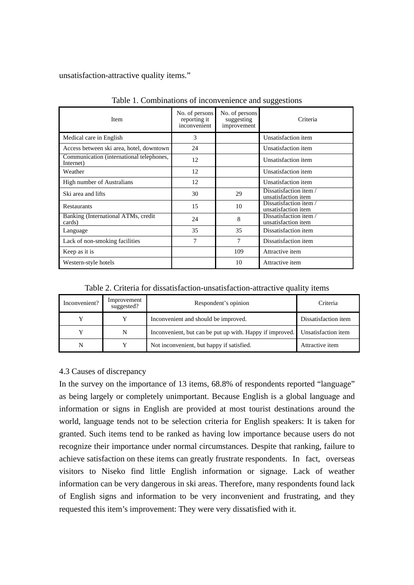unsatisfaction-attractive quality items."

| <b>Item</b>                                           | No. of persons<br>reporting it<br>inconvenient | No. of persons<br>suggesting<br>improvement | Criteria                                      |
|-------------------------------------------------------|------------------------------------------------|---------------------------------------------|-----------------------------------------------|
| Medical care in English                               | 3                                              |                                             | Unsatisfaction item                           |
| Access between ski area, hotel, downtown              | 24                                             |                                             | Unsatisfaction item                           |
| Communication (international telephones,<br>Internet) | 12                                             |                                             | Unsatisfaction item                           |
| Weather                                               | 12                                             |                                             | Unsatisfaction item                           |
| <b>High number of Australians</b>                     | 12                                             |                                             | Unsatisfaction item                           |
| Ski area and lifts                                    | 30                                             | 29                                          | Dissatisfaction item/<br>unsatisfaction item  |
| <b>Restaurants</b>                                    | 15                                             | 10                                          | Dissatisfaction item /<br>unsatisfaction item |
| Banking (International ATMs, credit<br>cards)         | 24                                             | 8                                           | Dissatisfaction item /<br>unsatisfaction item |
| Language                                              | 35                                             | 35                                          | Dissatisfaction item                          |
| Lack of non-smoking facilities                        | 7                                              | 7                                           | Dissatisfaction item                          |
| Keep as it is                                         |                                                | 109                                         | Attractive item                               |
| Western-style hotels                                  |                                                | 10                                          | Attractive item                               |

Table 1. Combinations of inconvenience and suggestions

Table 2. Criteria for dissatisfaction-unsatisfaction-attractive quality items

| Inconvenient? | Improvement<br>suggested? | Respondent's opinion                                     | Criteria             |  |
|---------------|---------------------------|----------------------------------------------------------|----------------------|--|
|               |                           | Inconvenient and should be improved.                     | Dissatisfaction item |  |
|               | N                         | Inconvenient, but can be put up with. Happy if improved. | Unsatisfaction item  |  |
|               |                           | Not inconvenient, but happy if satisfied.                | Attractive item      |  |

# 4.3 Causes of discrepancy

In the survey on the importance of 13 items, 68.8% of respondents reported "language" as being largely or completely unimportant. Because English is a global language and information or signs in English are provided at most tourist destinations around the world, language tends not to be selection criteria for English speakers: It is taken for granted. Such items tend to be ranked as having low importance because users do not recognize their importance under normal circumstances. Despite that ranking, failure to achieve satisfaction on these items can greatly frustrate respondents. In fact, overseas visitors to Niseko find little English information or signage. Lack of weather information can be very dangerous in ski areas. Therefore, many respondents found lack of English signs and information to be very inconvenient and frustrating, and they requested this item's improvement: They were very dissatisfied with it.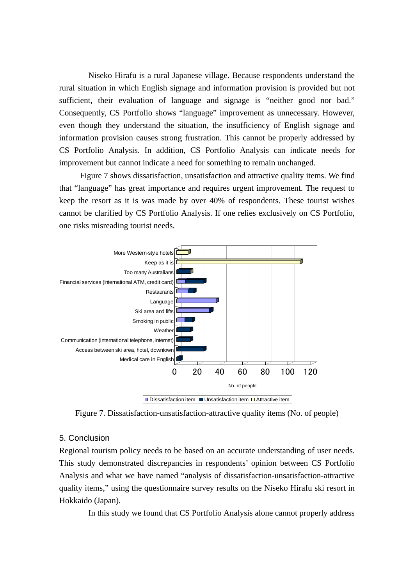Niseko Hirafu is a rural Japanese village. Because respondents understand the rural situation in which English signage and information provision is provided but not sufficient, their evaluation of language and signage is "neither good nor bad." Consequently, CS Portfolio shows "language" improvement as unnecessary. However, even though they understand the situation, the insufficiency of English signage and information provision causes strong frustration. This cannot be properly addressed by CS Portfolio Analysis. In addition, CS Portfolio Analysis can indicate needs for improvement but cannot indicate a need for something to remain unchanged.

Figure 7 shows dissatisfaction, unsatisfaction and attractive quality items. We find that "language" has great importance and requires urgent improvement. The request to keep the resort as it is was made by over 40% of respondents. These tourist wishes cannot be clarified by CS Portfolio Analysis. If one relies exclusively on CS Portfolio, one risks misreading tourist needs.



Figure 7. Dissatisfaction-unsatisfaction-attractive quality items (No. of people)

## 5. Conclusion

Regional tourism policy needs to be based on an accurate understanding of user needs. This study demonstrated discrepancies in respondents' opinion between CS Portfolio Analysis and what we have named "analysis of dissatisfaction-unsatisfaction-attractive quality items," using the questionnaire survey results on the Niseko Hirafu ski resort in Hokkaido (Japan).

In this study we found that CS Portfolio Analysis alone cannot properly address